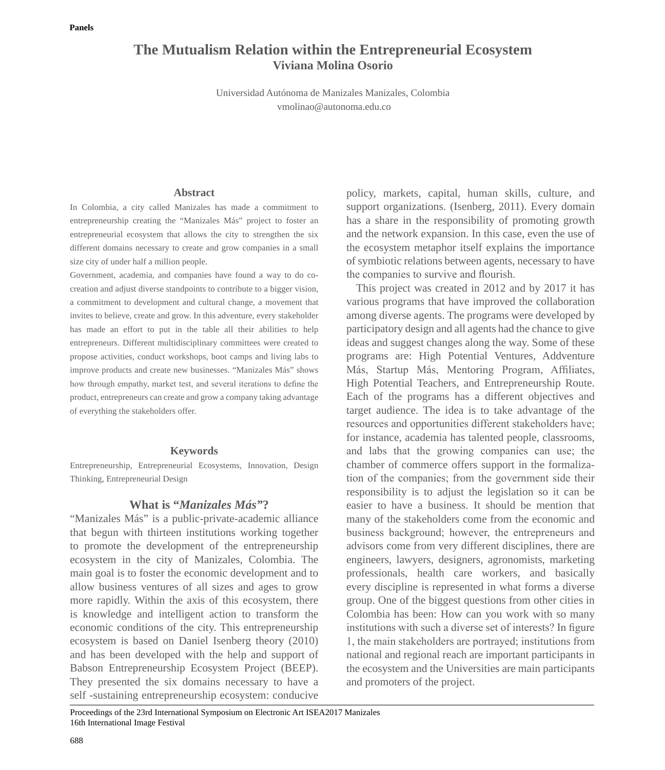# **The Mutualism Relation within the Entrepreneurial Ecosystem Viviana Molina Osorio**

Universidad Autónoma de Manizales Manizales, Colombia vmolinao@autonoma.edu.co

# **Abstract**

In Colombia, a city called Manizales has made a commitment to entrepreneurship creating the "Manizales Más" project to foster an entrepreneurial ecosystem that allows the city to strengthen the six different domains necessary to create and grow companies in a small size city of under half a million people.

Government, academia, and companies have found a way to do cocreation and adjust diverse standpoints to contribute to a bigger vision, a commitment to development and cultural change, a movement that invites to believe, create and grow. In this adventure, every stakeholder has made an effort to put in the table all their abilities to help entrepreneurs. Different multidisciplinary committees were created to propose activities, conduct workshops, boot camps and living labs to improve products and create new businesses. "Manizales Más" shows how through empathy, market test, and several iterations to define the product, entrepreneurs can create and grow a company taking advantage of everything the stakeholders offer.

## **Keywords**

Entrepreneurship, Entrepreneurial Ecosystems, Innovation, Design Thinking, Entrepreneurial Design

# **What is "***Manizales Más"***?**

"Manizales Más" is a public-private-academic alliance that begun with thirteen institutions working together to promote the development of the entrepreneurship ecosystem in the city of Manizales, Colombia. The main goal is to foster the economic development and to allow business ventures of all sizes and ages to grow more rapidly. Within the axis of this ecosystem, there is knowledge and intelligent action to transform the economic conditions of the city. This entrepreneurship ecosystem is based on Daniel Isenberg theory (2010) and has been developed with the help and support of Babson Entrepreneurship Ecosystem Project (BEEP). They presented the six domains necessary to have a self -sustaining entrepreneurship ecosystem: conducive

policy, markets, capital, human skills, culture, and support organizations. (Isenberg, 2011). Every domain has a share in the responsibility of promoting growth and the network expansion. In this case, even the use of the ecosystem metaphor itself explains the importance of symbiotic relations between agents, necessary to have the companies to survive and flourish.

This project was created in 2012 and by 2017 it has various programs that have improved the collaboration among diverse agents. The programs were developed by participatory design and all agents had the chance to give ideas and suggest changes along the way. Some of these programs are: High Potential Ventures, Addventure Más, Startup Más, Mentoring Program, Affiliates, High Potential Teachers, and Entrepreneurship Route. Each of the programs has a different objectives and target audience. The idea is to take advantage of the resources and opportunities different stakeholders have; for instance, academia has talented people, classrooms, and labs that the growing companies can use; the chamber of commerce offers support in the formalization of the companies; from the government side their responsibility is to adjust the legislation so it can be easier to have a business. It should be mention that many of the stakeholders come from the economic and business background; however, the entrepreneurs and advisors come from very different disciplines, there are engineers, lawyers, designers, agronomists, marketing professionals, health care workers, and basically every discipline is represented in what forms a diverse group. One of the biggest questions from other cities in Colombia has been: How can you work with so many institutions with such a diverse set of interests? In figure 1, the main stakeholders are portrayed; institutions from national and regional reach are important participants in the ecosystem and the Universities are main participants and promoters of the project.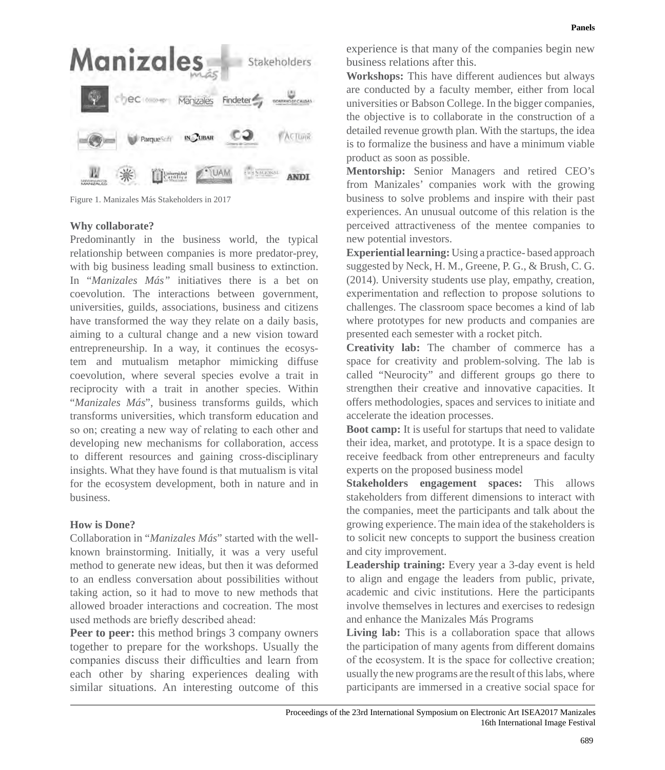

Figure 1. Manizales Más Stakeholders in 2017

## **Why collaborate?**

Predominantly in the business world, the typical relationship between companies is more predator-prey, with big business leading small business to extinction. In "*Manizales Más"* initiatives there is a bet on coevolution. The interactions between government, universities, guilds, associations, business and citizens have transformed the way they relate on a daily basis, aiming to a cultural change and a new vision toward entrepreneurship. In a way, it continues the ecosystem and mutualism metaphor mimicking diffuse coevolution, where several species evolve a trait in reciprocity with a trait in another species. Within "*Manizales Más*", business transforms guilds, which transforms universities, which transform education and so on; creating a new way of relating to each other and developing new mechanisms for collaboration, access to different resources and gaining cross-disciplinary insights. What they have found is that mutualism is vital for the ecosystem development, both in nature and in business.

# **How is Done?**

Collaboration in "*Manizales Más*" started with the wellknown brainstorming. Initially, it was a very useful method to generate new ideas, but then it was deformed to an endless conversation about possibilities without taking action, so it had to move to new methods that allowed broader interactions and cocreation. The most used methods are briefly described ahead:

**Peer to peer:** this method brings 3 company owners together to prepare for the workshops. Usually the companies discuss their difficulties and learn from each other by sharing experiences dealing with similar situations. An interesting outcome of this

experience is that many of the companies begin new business relations after this.

**Workshops:** This have different audiences but always are conducted by a faculty member, either from local universities or Babson College. In the bigger companies, the objective is to collaborate in the construction of a detailed revenue growth plan. With the startups, the idea is to formalize the business and have a minimum viable product as soon as possible.

**Mentorship:** Senior Managers and retired CEO's from Manizales' companies work with the growing business to solve problems and inspire with their past experiences. An unusual outcome of this relation is the perceived attractiveness of the mentee companies to new potential investors.

**Experiential learning:** Using a practice- based approach suggested by Neck, H. M., Greene, P. G., & Brush, C. G. (2014). University students use play, empathy, creation, experimentation and reflection to propose solutions to challenges. The classroom space becomes a kind of lab where prototypes for new products and companies are presented each semester with a rocket pitch.

**Creativity lab:** The chamber of commerce has a space for creativity and problem-solving. The lab is called "Neurocity" and different groups go there to strengthen their creative and innovative capacities. It offers methodologies, spaces and services to initiate and accelerate the ideation processes.

**Boot camp:** It is useful for startups that need to validate their idea, market, and prototype. It is a space design to receive feedback from other entrepreneurs and faculty experts on the proposed business model

**Stakeholders engagement spaces:** This allows stakeholders from different dimensions to interact with the companies, meet the participants and talk about the growing experience. The main idea of the stakeholders is to solicit new concepts to support the business creation and city improvement.

**Leadership training:** Every year a 3-day event is held to align and engage the leaders from public, private, academic and civic institutions. Here the participants involve themselves in lectures and exercises to redesign and enhance the Manizales Más Programs

Living lab: This is a collaboration space that allows the participation of many agents from different domains of the ecosystem. It is the space for collective creation; usually the new programs are the result of this labs, where participants are immersed in a creative social space for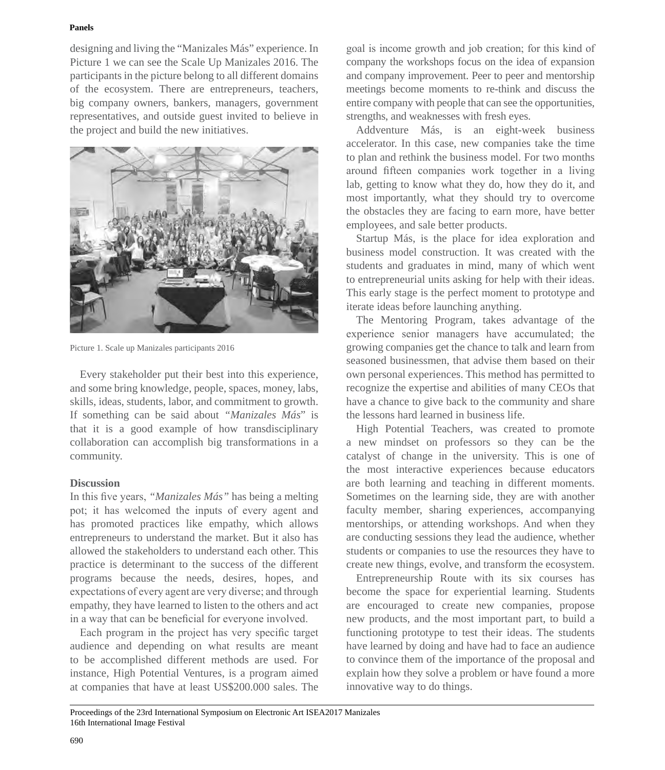#### **Panels**

designing and living the "Manizales Más" experience. In Picture 1 we can see the Scale Up Manizales 2016. The participants in the picture belong to all different domains of the ecosystem. There are entrepreneurs, teachers, big company owners, bankers, managers, government representatives, and outside guest invited to believe in the project and build the new initiatives.



Picture 1. Scale up Manizales participants 2016

Every stakeholder put their best into this experience, and some bring knowledge, people, spaces, money, labs, skills, ideas, students, labor, and commitment to growth. If something can be said about *"Manizales Más*" is that it is a good example of how transdisciplinary collaboration can accomplish big transformations in a community.

# **Discussion**

In this five years, *"Manizales Más"* has being a melting pot; it has welcomed the inputs of every agent and has promoted practices like empathy, which allows entrepreneurs to understand the market. But it also has allowed the stakeholders to understand each other. This practice is determinant to the success of the different programs because the needs, desires, hopes, and expectations of every agent are very diverse; and through empathy, they have learned to listen to the others and act in a way that can be beneficial for everyone involved.

Each program in the project has very specific target audience and depending on what results are meant to be accomplished different methods are used. For instance, High Potential Ventures, is a program aimed at companies that have at least US\$200.000 sales. The goal is income growth and job creation; for this kind of company the workshops focus on the idea of expansion and company improvement. Peer to peer and mentorship meetings become moments to re-think and discuss the entire company with people that can see the opportunities, strengths, and weaknesses with fresh eyes.

Addventure Más, is an eight-week business accelerator. In this case, new companies take the time to plan and rethink the business model. For two months around fifteen companies work together in a living lab, getting to know what they do, how they do it, and most importantly, what they should try to overcome the obstacles they are facing to earn more, have better employees, and sale better products.

Startup Más, is the place for idea exploration and business model construction. It was created with the students and graduates in mind, many of which went to entrepreneurial units asking for help with their ideas. This early stage is the perfect moment to prototype and iterate ideas before launching anything.

The Mentoring Program, takes advantage of the experience senior managers have accumulated; the growing companies get the chance to talk and learn from seasoned businessmen, that advise them based on their own personal experiences. This method has permitted to recognize the expertise and abilities of many CEOs that have a chance to give back to the community and share the lessons hard learned in business life.

High Potential Teachers, was created to promote a new mindset on professors so they can be the catalyst of change in the university. This is one of the most interactive experiences because educators are both learning and teaching in different moments. Sometimes on the learning side, they are with another faculty member, sharing experiences, accompanying mentorships, or attending workshops. And when they are conducting sessions they lead the audience, whether students or companies to use the resources they have to create new things, evolve, and transform the ecosystem.

Entrepreneurship Route with its six courses has become the space for experiential learning. Students are encouraged to create new companies, propose new products, and the most important part, to build a functioning prototype to test their ideas. The students have learned by doing and have had to face an audience to convince them of the importance of the proposal and explain how they solve a problem or have found a more innovative way to do things.

Proceedings of the 23rd International Symposium on Electronic Art ISEA2017 Manizales 16th International Image Festival